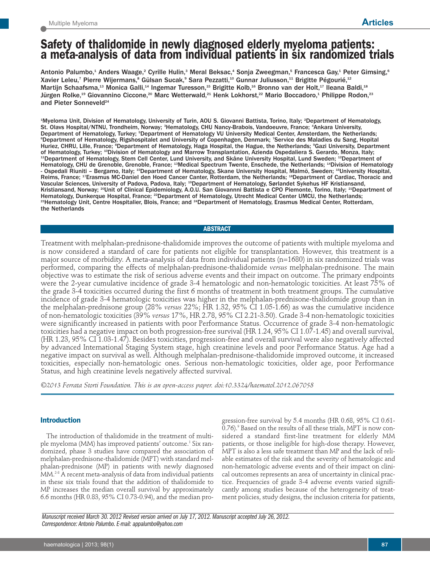# **Safety of thalidomide in newly diagnosed elderly myeloma patients: a meta-analysis of data from individual patients in six randomized trials**

Antonio Palumbo,<sup>1</sup> Anders Waage,<sup>2</sup> Cyrille Hulin,<sup>3</sup> Meral Beksac,<sup>4</sup> Sonja Zweegman,<sup>5</sup> Francesca Gay,<sup>1</sup> Peter Gimsing,<sup>6</sup> Xavier Leleu,<sup>7</sup> Pierre Wijermans,<sup>s</sup> Gülsan Sucak,° Sara Pezzatti,<sup>10</sup> Gunnar Juliusson,<sup>11</sup> Brigitte Pégourié,<sup>12</sup> Martijn Schaafsma,<sup>13</sup> Monica Galli,<sup>14</sup> Ingemar Turesson,<sup>15</sup> Brigitte Kolb,<sup>16</sup> Bronno van der Holt,<sup>17</sup> Ileana Baldi,<sup>18</sup> Jürgen Rolke,<sup>19</sup> Giovannino Ciccone,<sup>20</sup> Marc Wetterwald,<sup>21</sup> Henk Lokhorst,<sup>22</sup> Mario Boccadoro,<sup>1</sup> Philippe Rodon,<sup>23</sup> and Pieter Sonneveld<sup>24</sup>

<sup>1</sup>Myeloma Unit, Division of Hematology, University of Turin, AOU S. Giovanni Battista, Torino, Italy; <sup>2</sup>Department of Hematology, St. Olavs Hospital/NTNU, Trondheim, Norway; <sup>3</sup>Hematology, CHU Nancy-Brabois, Vandoeuvre, France; <sup>4</sup>Ankara University, Department of Hematology, Turkey; <sup>s</sup>Department of Hematology VU University Medical Center, Amsterdam, the Netherlands; 6 Department of Hematology, Rigshospitalet and University of Copenhagen, Denmark; <sup>7</sup> Service des Maladies du Sang, Hopital Huriez, CHRU, Lille, France; <sup>s</sup>Department of Hematology, Haga Hospital, the Hague, the Netherlands; <sup>s</sup>Gazi University, Department of Hematology, Turkey; <sup>10</sup>Division of Hematology and Marrow Transplantation, Azienda Ospedaliera S. Gerardo, Monza, Italy; 11 Department of Hematology, Stem Cell Center, Lund University, and Skåne University Hospital, Lund Sweden; <sup>12</sup> Department of Hematology, CHU de Grenoble, Grenoble, France; <sup>13</sup>Medical Spectrum Twente, Enschede, the Netherlands; <sup>14</sup>Division of Hematology - Ospedali Riuniti – Bergamo, Italy; <sup>15</sup>Department of Hematology, Skane University Hospital, Malmö, Sweden; <sup>16</sup>University Hospital, Reims, France; <sup>17</sup> Erasmus MC-Daniel den Hoed Cancer Canter, Rotterdam, the Netherlands; <sup>18</sup> Department of Cardiac, Thoracic and Vascular Sciences, University of Padova, Padova, Italy; <sup>19</sup> Department of Hematology, Sørlandet Sykehus HF Kristiansand, Kristiansand, Norway; <sup>20</sup>Unit of Clinical Epidemiology, A.O.U. San Giovannni Battista e CPO Piemonte, Torino, Italy; <sup>21</sup>Department of Hematology, Dunkerque Hospital, France; <sup>22</sup>Department of Hematology, Utrecht Medical Center UMCU, the Netherlands; <sup>23</sup>Hematology Unit, Centre Hospitalier, Blois, France; and <sup>24</sup>Department of Hematology, Erasmus Medical Center, Rotterdam, the Netherlands

**ABSTRACT**

Treatment with melphalan-prednisone-thalidomide improves the outcome of patients with multiple myeloma and is now considered a standard of care for patients not eligible for transplantation. However, this treatment is a major source of morbidity. A meta-analysis of data from individual patients (n=1680) in six randomized trials was performed, comparing the effects of melphalan-prednisone-thalidomide *versus* melphalan-prednisone. The main objective was to estimate the risk of serious adverse events and their impact on outcome. The primary endpoints were the 2-year cumulative incidence of grade 3-4 hematologic and non-hematologic toxicities. At least 75% of the grade 3-4 toxicities occurred during the first 6 months of treatment in both treatment groups. The cumulative incidence of grade 3-4 hematologic toxicities was higher in the melphalan-prednisone-thalidomide group than in the melphalan-prednisone group (28% *versus* 22%; HR 1.32, 95% CI 1.05-1.66) as was the cumulative incidence of non-hematologic toxicities (39% *versus* 17%, HR 2.78, 95% CI 2.21-3.50). Grade 3-4 non-hematologic toxicities were significantly increased in patients with poor Performance Status. Occurrence of grade 3-4 non-hematologic toxicities had a negative impact on both progression-free survival (HR 1.24, 95% CI 1.07-1.45) and overall survival, (HR 1.23, 95% CI 1.03-1.47). Besides toxicities, progression-free and overall survival were also negatively affected by advanced International Staging System stage, high creatinine levels and poor Performance Status. Age had a negative impact on survival as well. Although melphalan-prednisone-thalidomide improved outcome, it increased toxicities, especially non-hematologic ones. Serious non-hematologic toxicities, older age, poor Performance Status, and high creatinine levels negatively affected survival.

*©2013 Ferrata Storti Foundation. This is an open-access paper. doi:10.3324/haematol.2012.067058*

# **Introduction**

The introduction of thalidomide in the treatment of multiple myeloma (MM) has improved patients' outcome. <sup>1</sup> Six randomized, phase 3 studies have compared the association of melphalan-prednisone-thalidomide (MPT) with standard melphalan-prednisone (MP) in patients with newly diagnosed MM. 2-8 A recent meta-analysis of data from individual patients in these six trials found that the addition of thalidomide to MP increases the median overall survival by approximately 6.6 months (HR 0.83, 95% CI 0.73-0.94), and the median progression-free survival by 5.4 months (HR 0.68, 95% CI 0.61- 0.76). <sup>9</sup> Based on the results of all these trials, MPT is now considered a standard first-line treatment for elderly MM patients, or those ineligible for high-dose therapy. However, MPT is also a less safe treatment than MP and the lack of reliable estimates of the risk and the severity of hematologic and non-hematologic adverse events and of their impact on clinical outcomes represents an area of uncertainty in clinical practice. Frequencies of grade 3-4 adverse events varied significantly among studies because of the heterogeneity of treatment policies, study designs, the inclusion criteria for patients,

Manuscript received March 30. 2012 Revised version arrived on July 17, 2012. Manuscript accepted July 26, 2012.<br>Correspondence: Antonio Palumbo. E-mail: appalumbo@yahoo.com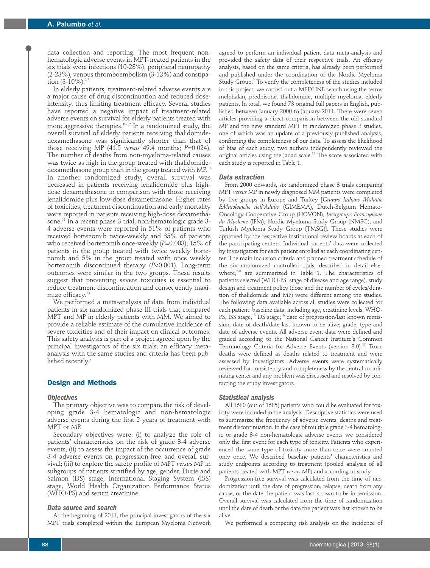data collection and reporting. The most frequent nonhematologic adverse events in MPT-treated patients in the six trials were infections (10-28%), peripheral neuropathy (2-23%), venous thromboembolism (3-12%) and constipation (3-10%). 2-8

In elderly patients, treatment-related adverse events are a major cause of drug discontinuation and reduced doseintensity, thus limiting treatment efficacy. Several studies have reported a negative impact of treatment-related adverse events on survival for elderly patients treated with more aggressive therapies. 10-12 In a randomized study, the overall survival of elderly patients receiving thalidomidedexamethasone was significantly shorter than that of those receiving MP (41.5 *versus* 49.4 months; *P*=0.024). The number of deaths from non-myeloma-related causes was twice as high in the group treated with thalidomidedexamethasone group than in the group treated with MP. $^{\rm 10}$ In another randomized study, overall survival was decreased in patients receiving lenalidomide plus highdose dexamethasone in comparison with those receiving lenalidomide plus low-dose dexamethasone. Higher rates of toxicities, treatment discontinuation and early mortality were reported in patients receiving high-dose dexamethasone. <sup>11</sup> In a recent phase 3 trial, non-hematologic grade 3- 4 adverse events were reported in 51% of patients who received bortezomib twice-weekly and 35% of patients who received bortezomib once-weekly (*P*=0.003); 15% of patients in the group treated with twice weekly bortezomib and 5% in the group treated with once weekly bortezomib discontinued therapy (*P*<0.001). Long-term outcomes were similar in the two groups. These results suggest that preventing severe toxicities is essential to reduce treatment discontinuation and consequently maximize efficacy. 13

We performed a meta-analysis of data from individual patients in six randomized phase III trials that compared MPT and MP in elderly patients with MM. We aimed to provide a reliable estimate of the cumulative incidence of severe toxicities and of their impact on clinical outcomes. This safety analysis is part of a project agreed upon by the principal investigators of the six trials; an efficacy metaanalysis with the same studies and criteria has been published recently. 9

# **Design and Methods**

#### *Objectives*

The primary objective was to compare the risk of developing grade 3-4 hematologic and non-hematologic adverse events during the first 2 years of treatment with MPT or MP.

Secondary objectives were: (i) to analyze the role of patients' characteristics on the risk of grade 3-4 adverse events; (ii) to assess the impact of the occurrence of grade 3-4 adverse events on progression-free and overall survival; (iii) to explore the safety profile of MPT *versus* MP in subgroups of patients stratified by age, gender, Durie and Salmon (DS) stage, International Staging System (ISS) stage, World Health Organization Performance Status (WHO-PS) and serum creatinine.

# *Data source and search*

At the beginning of 2011, the principal investigators of the six MPT trials completed within the European Myeloma Network

agreed to perform an individual patient data meta-analysis and provided the safety data of their respective trials. An efficacy analysis, based on the same criteria, has already been performed and published under the coordination of the Nordic Myeloma Study Group. <sup>9</sup> To verify the completeness of the studies included in this project, we carried out a MEDLINE search using the terms melphalan, prednisone, thalidomide, multiple myeloma, elderly patients. In total, we found 73 original full papers in English, published between January 2000 to January 2011. There were seven articles providing a direct comparison between the old standard MP and the new standard MPT in randomized phase 3 studies, one of which was an update of a previously published analysis, confirming the completeness of our data. To assess the likelihood of bias of each study, two authors independently reviewed the original articles using the Jadad scale. <sup>14</sup> The score associated with each study is reported in Table 1.

## *Data extraction*

From 2000 onwards, six randomized phase 3 trials comparing MPT *versus* MP in newly diagnosed MM patients were completed by five groups in Europe and Turkey [*Gruppo Italiano Malattie EMatologiche dell'Adulto* (GIMEMA), Dutch-Belgium Hemato-Oncology Cooperative Group (HOVON), *Intergroupe Francophone du Myelome* (IFM), Nordic Myeloma Study Group (NMSG), and Turkish Myeloma Study Group (TMSG)]. These studies were approved by the respective institutional review boards at each of the participating centers. Individual patients' data were collected by investigators for each patient enrolled at each coordinating center. The main inclusion criteria and planned treatment schedule of the six randomized controlled trials, described in detail elsewhere, 2-8 are summarized in Table 1. The characteristics of patients selected (WHO-PS, stage of disease and age range), study design and treatment policy (dose and the number of cycles/duration of thalidomide and MP) were different among the studies. The following data available across all studies were collected for each patient: baseline data, including age, creatinine levels, WHO-PS, ISS stage,<sup>15</sup> DS stage;<sup>16</sup> date of progression/last known remission, date of death/date last known to be alive; grade, type and date of adverse events. All adverse event data were defined and graded according to the National Cancer Institute's Common Terminology Criteria for Adverse Events (version 3.0). <sup>17</sup> Toxic deaths were defined as deaths related to treatment and were assessed by investigators. Adverse events were systematically reviewed for consistency and completeness by the central coordinating center and any problem was discussed and resolved by contacting the study investigators.

## *Statistical analysis*

All 1680 (out of 1685) patients who could be evaluated for toxicity were included in the analysis. Descriptive statistics were used to summarize the frequency of adverse events, deaths and treatment discontinuation. In the case of multiple grade 3-4 hematologic or grade 3-4 non-hematologic adverse events we considered only the first event for each type of toxicity. Patients who experienced the same type of toxicity more than once were counted only once. We described baseline patients' characteristics and study endpoints according to treatment (pooled analysis of all patients treated with MPT *versus* MP) and according to study.

Progression-free survival was calculated from the time of randomization until the date of progression, relapse, death from any cause, or the date the patient was last known to be in remission. Overall survival was calculated from the time of randomization until the date of death or the date the patient was last known to be alive.

We performed a competing risk analysis on the incidence of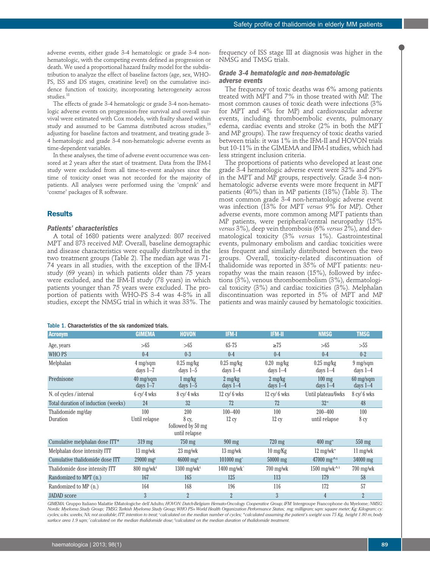adverse events, either grade 3-4 hematologic or grade 3-4 nonhematologic, with the competing events defined as progression or death. We used a proportional hazard frailty model for the subdistribution to analyze the effect of baseline factors (age, sex, WHO-PS, ISS and DS stages, creatinine level) on the cumulative incidence function of toxicity, incorporating heterogeneity across studies. 18

The effects of grade 3-4 hematologic or grade 3-4 non-hematologic adverse events on progression-free survival and overall survival were estimated with Cox models, with frailty shared within study and assumed to be Gamma distributed across studies, 19 adjusting for baseline factors and treatment, and treating grade 3- 4 hematologic and grade 3-4 non-hematologic adverse events as time-dependent variables.

In these analyses, the time of adverse event occurrence was censored at 2 years after the start of treatment. Data from the IFM-I study were excluded from all time-to-event analyses since the time of toxicity onset was not recorded for the majority of patients. All analyses were performed using the 'cmprsk' and 'coxme' packages of R software.

# **Results**

### *Patients' characteristics*

A total of 1680 patients were analyzed: 807 received MPT and 873 received MP. Overall, baseline demographic and disease characteristics were equally distributed in the two treatment groups (Table 2). The median age was 71- 74 years in all studies, with the exception of the IFM-I study (69 years) in which patients older than 75 years were excluded, and the IFM-II study (78 years) in which patients younger than 75 years were excluded. The proportion of patients with WHO-PS 3-4 was 4-8% in all studies, except the NMSG trial in which it was 33%. The

#### Table 1. Characteristics of the six randomized trials.

frequency of ISS stage III at diagnosis was higher in the NMSG and TMSG trials.

## *Grade 3-4 hematologic and non-hematologic adverse events*

The frequency of toxic deaths was 6% among patients treated with MPT and 7% in those treated with MP. The most common causes of toxic death were infections (3% for MPT and 4% for MP) and cardiovascular adverse events, including thromboembolic events, pulmonary edema, cardiac events and stroke (2% in both the MPT and MP groups). The raw frequency of toxic deaths varied between trials: it was 1% in the IFM-II and HOVON trials but 10-11% in the GIMEMA and IFM-I studies, which had less stringent inclusion criteria.

The proportions of patients who developed at least one grade 3-4 hematologic adverse event were 32% and 29% in the MPT and MP groups, respectively. Grade 3-4 nonhematologic adverse events were more frequent in MPT patients (40%) than in MP patients (18%) (Table 3). The most common grade 3-4 non-hematologic adverse event was infection (13% for MPT *versus* 9% for MP). Other adverse events, more common among MPT patients than MP patients, were peripheral/central neuropathy (15% *versus* 3%), deep vein thrombosis (6% *versus* 2%), and dermatological toxicity (3% *versus* 1%). Gastrointestinal events, pulmonary embolism and cardiac toxicities were less frequent and similarly distributed between the two groups. Overall, toxicity-related discontinuation of thalidomide was reported in 35% of MPT patients: neuropathy was the main reason (15%), followed by infections (3%), venous thromboembolism (3%), dermatological toxicity (3%) and cardiac toxicities (3%). Melphalan discontinuation was reported in 5% of MPT and MP patients and was mainly caused by hematologic toxicities.

| <b>Acronym</b>                      | <b>GIMEMA</b>                     | <b>HOVON</b>                                       | <b>IFM-I</b>                                    | <b>IFM-II</b>                   | <b>NMSG</b>                             | <b>TMSG</b>                        |
|-------------------------------------|-----------------------------------|----------------------------------------------------|-------------------------------------------------|---------------------------------|-----------------------------------------|------------------------------------|
| Age, years                          | >65                               | >65                                                | $65 - 75$                                       | $\geq 75$                       | >65                                     | >55                                |
| WHO PS                              | $0 - 4$                           | $0 - 3$                                            | $0-4$                                           | $0-4$                           | $0-4$                                   | $0-2$                              |
| Melphalan                           | $4 \text{ mg/s}$ qm<br>days $1-7$ | $0.25$ mg/kg<br>days $1-5$                         | $0.25 \text{ mg/kg}$<br>days $1-4$              | $0.20$ mg/kg<br>days $1-4$      | $0.25$ mg/kg<br>days $1-4$              | $9 \text{ mg/s}$ gm<br>days $1-4$  |
| Prednisone                          | $40 \text{ mg/sgm}$<br>days $1-7$ | $1 \text{ mg/kg}$<br>days $1-5$                    | $2 \text{ mg/kg}$<br>days $1-4$                 | $2 \text{ mg/kg}$<br>days $1-4$ | $100 \text{ mg}$<br>days $1-4$          | $60 \text{ mg/s}$ gm<br>days $1-4$ |
| N. of cycles / interval             | $6 \text{ cy}/4 \text{ wks}$      | 8 cy/ 4 wks                                        | $12 \text{ cy}/6 \text{ wks}$                   | $12 \text{ cy}/6 \text{ wks}$   | Until plateau/6wks                      | 8 cy/ 6 wks                        |
| Total duration of induction (weeks) | 24                                | 32                                                 | 72                                              | 72                              | $32^{\circ}$                            | 48                                 |
| Thalidomide mg/day<br>Duration      | 100<br>Until relapse              | 200<br>8 cy,<br>followed by 50 mg<br>until relapse | $100 - 400$<br>12cy                             | 100<br>12cy                     | $200 - 400$<br>until relapse            | 100<br>8 cy                        |
| Cumulative melphalan dose ITT*      | $319$ mg                          | $750 \text{ mg}$                                   | $900 \text{ mg}$                                | $720$ mg                        | $400 \text{ mg}^{\circ}$                | $550$ mg                           |
| Melphalan dose intensity ITT        | $13 \text{ mg/wk}$                | 23 mg/wk                                           | $13 \text{ mg/wk}$                              | $10 \text{ mg/Kg}$              | 12 mg/wk <sup><math>\infty</math></sup> | $11 \text{ mg/wk}$                 |
| Cumulative thalidomide dose ITT     | $29000 \text{ mg}^s$              | $46000 \text{ mg}$                                 | $101000$ mg <sup><math>\textdegree</math></sup> | 50000 mg                        | 47000 mg $\lambda$ §                    | 34000 mg                           |
| Thalidomide dose intensity ITT      | $800 \text{ mg/wk}$               | $1300$ mg/wk <sup>§</sup>                          | 1400 mg/wk <sup>^</sup>                         | 700 mg/wk                       | 1500 mg/wk $\wedge$ \$                  | 700 mg/wk                          |
| Randomized to MPT (n.)              | 167                               | 165                                                | 125                                             | 113                             | 179                                     | 58                                 |
| Randomized to MP (n.)               | 164                               | 168                                                | 196                                             | 116                             | 172                                     | 57                                 |
| <b>JADAD</b> score                  | 3                                 | $\overline{2}$                                     | $\overline{2}$                                  | 3                               | 4                                       | $\overline{2}$                     |

GIMEMA: Gruppo Italiano Malattie EMatologiche dell'Adulto; HOVON: Dutch-Belgium Hemato-Oncology Cooperative Group; IFM: Intergroupe Francophone du Myelome; NMSG: Nordic Myeloma Study Group; TMSG: Turkish Myeloma Study Group; WHO PS= World Health Organization Performance Status; mg: milligram; sqm: square meter; Kg: Kilogram; cy: cycles: usks: useeks: NA: not available: ITT: intention to treat: "calculated on the median number of cycles: "calculated assuming the patient's useight usas 75 Kg, height 1.80 m, body surface area 1.9 sqm; ^calculated on the median thalidomide dose; \*calculated on the median duration of thalidomide treatment.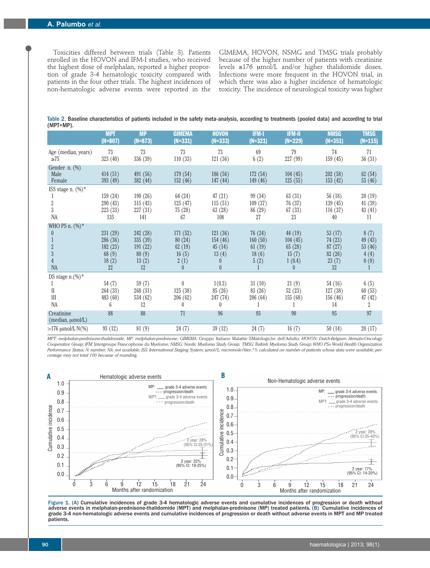Toxicities differed between trials (Table 3). Patients enrolled in the HOVON and IFM-I studies, who received the highest dose of melphalan, reported a higher proportion of grade 3-4 hematologic toxicity compared with patients in the four other trials. The highest incidences of non-hematologic adverse events were reported in the

GIMEMA, HOVON, NSMG and TMSG trials probably because of the higher number of patients with creatinine levels ≥176 μmol/L and/or higher thalidomide doses. Infections were more frequent in the HOVON trial, in which there was also a higher incidence of hematologic toxicity. The incidence of neurological toxicity was higher

| Table 2. Baseline characteristics of patients included in the safety meta-analysis, according to treatments (pooled data) and according to trial |  |  |  |  |  |  |
|--------------------------------------------------------------------------------------------------------------------------------------------------|--|--|--|--|--|--|
| $(MPT+MP)$ .                                                                                                                                     |  |  |  |  |  |  |

|                                                           | <b>MPT</b><br>$(N=807)$               | <b>MP</b><br>$(N=873)$               | <b>GIMEMA</b><br>$(N=331)$                         | <b>HOVON</b><br>$(N=333)$                 | <b>IFM-I</b><br>$(N=321)$           | <b>IFM-II</b><br>$(N=229)$         | <b>NMSG</b><br>$(N=351)$           | <b>TMSG</b><br>$(N=115)$          |
|-----------------------------------------------------------|---------------------------------------|--------------------------------------|----------------------------------------------------|-------------------------------------------|-------------------------------------|------------------------------------|------------------------------------|-----------------------------------|
| Age (median, years)<br>>75                                | 73<br>323(40)                         | 73<br>336 (39)                       | 73<br>110(33)                                      | 73<br>121(36)                             | 69<br>6(2)                          | 79<br>227 (99)                     | 74<br>159(45)                      | 71<br>36(31)                      |
| Gender n. $(\%)$<br>Male<br>Female                        | 414(51)<br>393(49)                    | 491(56)<br>382(44)                   | 179(54)<br>152(46)                                 | 186(56)<br>147(44)                        | 172(54)<br>149(46)                  | 104(45)<br>125(55)                 | 202(58)<br>153(42)                 | 62(54)<br>53(46)                  |
| ISS stage n. $(\%)^*$<br>$\overline{2}$<br>3<br><b>NA</b> | 159(24)<br>290(43)<br>223 (33)<br>135 | 190(26)<br>315(43)<br>227(31)<br>141 | 64 (24)<br>125(47)<br>75(28)<br>67                 | 47(21)<br>115(51)<br>63(28)<br>108        | 99 (34)<br>109(37)<br>86 (29)<br>27 | 63 (31)<br>76 (37)<br>67(33)<br>23 | 56(18)<br>139(45)<br>116(37)<br>40 | 20(19)<br>41(39)<br>43 (41)<br>11 |
| WHO PS n. $(\%)^*$                                        |                                       |                                      |                                                    |                                           |                                     |                                    |                                    |                                   |
| $\theta$                                                  | 231(29)                               | 242 (28)                             | 171(52)                                            | 121(36)                                   | 76 (24)                             | 44 (19)                            | 53(17)                             | 8(7)                              |
| $\overline{2}$                                            | 286(36)<br>182(23)                    | 335(39)<br>191(22)                   | 80(24)<br>62(19)                                   | 154(46)<br>45(14)                         | 160(50)<br>61(19)                   | 104(45)<br>65(28)                  | 74 (23)<br>87(27)                  | 49(43)<br>53(46)                  |
| $\sqrt{3}$                                                | 68(9)                                 | 80(9)                                | 16(5)                                              | 13(4)                                     | 18(6)                               | 15(7)                              | 82(26)                             | 4(4)                              |
| $\overline{4}$                                            | 18(2)                                 | 13(2)                                | 2(1)                                               | $\theta$                                  | 5(2)                                | 1(0.4)                             | 23(7)                              | 0(0)                              |
| <b>NA</b>                                                 | 22                                    | 12                                   | $\theta$                                           | $\theta$                                  |                                     | $\left( \right)$                   | 32                                 |                                   |
| DS stage $n.(%)^*$                                        |                                       |                                      |                                                    |                                           |                                     |                                    |                                    |                                   |
| H<br>III<br><b>NA</b>                                     | 54(7)<br>264 (33)<br>483(60)<br>6     | 59(7)<br>268(31)<br>534 (62)<br>12   | $\bf{0}$<br>125(38)<br>206(62)<br>$\left( \right)$ | 1(0.3)<br>85 (26)<br>247 (74)<br>$\theta$ | 31(10)<br>83 (26)<br>206(64)        | 21(9)<br>52(23)<br>155 (68)        | 54(16)<br>127(38)<br>156(46)<br>14 | 6(5)<br>60(53)<br>47(42)<br>2     |
| Creatinine<br>(median, $\mu$ mol/L)                       | 88                                    | 88                                   | 71                                                 | 96                                        | 93                                  | 90                                 | 95                                 | 97                                |
| $>176$ µmol/L N(%)                                        | 93 (12)                               | 81(9)                                | 24(7)                                              | 39(12)                                    | 24(7)                               | 16(7)                              | 50(14)                             | 20(17)                            |

*MPT: melphalan-prednisone-thalidomide; MP: melphalan-prednisone; GIMEMA:* Gruppo Italiano Malattie EMatologiche dell'Adulto*; HOVON: Dutch-Belgium Hemato-Oncology* Cooperative Group; IFM: Intergroupe Francophone du Myelome; NMSG: Nordic Myeloma Study Group; TMSG: Turkish Myeloma Study Group; WHO PS= World Health Organization Performance Status; N: number; NA: not available; ISS: International Staging System; umol/L: micromole/liter;\*% calculated on number of patients whose data were available; per*centage may not total 100 because of rounding.*



Figure 1. (A) Cumulative incidences of grade 3-4 hematologic adverse events and cumulative incidences of progression or death without adverse events in melphalan-prednisone-thalidomide (MPT) and melphalan-prednisone (MP) treated patients. (B) Cumulative incidences of grade 3-4 non-hematologic adverse events and cumulative incidences of progression or death without adverse events in MPT and MP treated patients.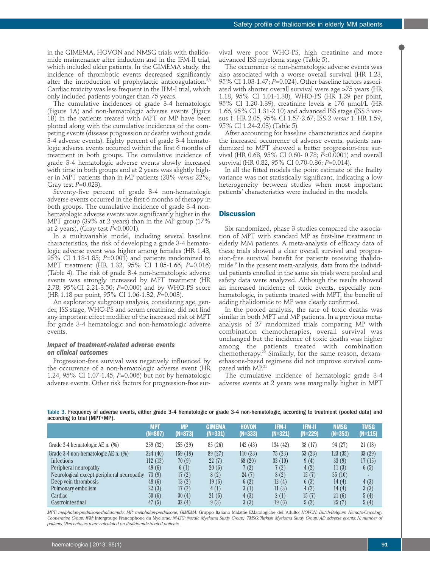in the GIMEMA, HOVON and NMSG trials with thalidomide maintenance after induction and in the IFM-II trial, which included older patients. In the GIMEMA study, the incidence of thrombotic events decreased significantly after the introduction of prophylactic anticoagulation.<sup>2,3</sup> Cardiac toxicity was less frequent in the IFM-I trial, which only included patients younger than 75 years.

The cumulative incidences of grade 3-4 hematologic (Figure 1A) and non-hematologic adverse events (Figure 1B) in the patients treated with MPT or MP have been plotted along with the cumulative incidences of the competing events (disease progression or deaths without grade 3-4 adverse events). Eighty percent of grade 3-4 hematologic adverse events occurred within the first 6 months of treatment in both groups. The cumulative incidence of grade 3-4 hematologic adverse events slowly increased with time in both groups and at 2 years was slightly higher in MPT patients than in MP patients (28% *versus* 22%; Gray test *P*=0.023).

Seventy-five percent of grade 3-4 non-hematologic adverse events occurred in the first 6 months of therapy in both groups. The cumulative incidence of grade 3-4 nonhematologic adverse events was significantly higher in the MPT group (39% at 2 years) than in the MP group (17% at 2 years), (Gray test *P*<0.0001).

In a multivariable model, including several baseline characteristics, the risk of developing a grade 3-4 hematologic adverse event was higher among females (HR 1.48, 95% CI 1.18-1.85; *P*=0.001) and patients randomized to MPT treatment (HR 1.32, 95% CI 1.05-1.66; *P*=0.016) (Table 4). The risk of grade 3-4 non-hematologic adverse events was strongly increased by MPT treatment (HR 2.78, 95%CI 2.21-3.50; *P*=0.000) and by WHO-PS score (HR 1.18 per point, 95% CI 1.06-1.32, *P*=0.003).

An exploratory subgroup analysis, considering age, gender, ISS stage, WHO-PS and serum creatinine, did not find any important effect modifier of the increased risk of MPT for grade 3-4 hematologic and non-hematologic adverse events.

# *Impact of treatment-related adverse events on clinical outcomes*

Progression-free survival was negatively influenced by the occurrence of a non-hematologic adverse event (HR 1.24, 95% CI 1.07-1.45; *P*=0.006) but not by hematologic adverse events. Other risk factors for progression-free survival were poor WHO-PS, high creatinine and more advanced ISS myeloma stage (Table 5).

The occurrence of non-hematologic adverse events was also associated with a worse overall survival (HR 1.23, 95% CI 1.03-1.47; *P*=0.024). Other baseline factors associated with shorter overall survival were age ≥75 years (HR 1.18, 95% CI 1.01-1.38), WHO-PS (HR 1.29 per point, 95% CI 1.20-1.39), creatinine levels ≥ 176 μmol/L (HR 1.66, 95% CI 1.31-2.10) and advanced ISS stage (ISS 3 versus 1: HR 2.05, 95% CI 1.57-2.67; ISS 2 *versus* 1: HR 1.59, 95% CI 1.24-2.03) (Table 5).

After accounting for baseline characteristics and despite the increased occurrence of adverse events, patients randomized to MPT showed a better progression-free survival (HR 0.68, 95% CI 0.60- 0.78; *P*<0.0001) and overall survival (HR 0.82, 95% CI 0.70-0.86; *P*=0.014).

In all the fitted models the point estimate of the frailty variance was not statistically significant, indicating a low heterogeneity between studies when most important patients' characteristics were included in the models.

# **Discussion**

Six randomized, phase 3 studies compared the association of MPT with standard MP as first-line treatment in elderly MM patients. A meta-analysis of efficacy data of these trials showed a clear overall survival and progression-free survival benefit for patients receiving thalidomide. <sup>9</sup> In the present meta-analysis, data from the individual patients enrolled in the same six trials were pooled and safety data were analyzed. Although the results showed an increased incidence of toxic events, especially nonhematologic, in patients treated with MPT, the benefit of adding thalidomide to MP was clearly confirmed.

In the pooled analysis, the rate of toxic deaths was similar in both MPT and MP patients. In a previous metaanalysis of 27 randomized trials comparing MP with combination chemotherapies, overall survival was unchanged but the incidence of toxic deaths was higher among the patients treated with combination chemotherapy. <sup>20</sup> Similarly, for the same reason, dexamethasone-based regimens did not improve survival compared with MP. 21

The cumulative incidence of hematologic grade 3-4 adverse events at 2 years was marginally higher in MPT

Table 3. Frequency of adverse events, either grade 3-4 hematologic or grade 3-4 non-hematologic, according to treatment (pooled data) and according to trial (MPT+MP).

|                                           | <b>MPT</b><br>$(N=807)$ | МP<br>$(N=873)$ | <b>GIMEMA</b><br>$(N=331)$ | <b>HOVON</b><br>$(N=333)$ | <b>IFM-I</b><br>$(N=321)$ | <b>IFM-II</b><br>$(N=229)$ | <b>NMSG</b><br>$(N=351)$ | <b>TMSG</b><br>$(N=115)$ |
|-------------------------------------------|-------------------------|-----------------|----------------------------|---------------------------|---------------------------|----------------------------|--------------------------|--------------------------|
| Grade 3-4 hematologic AE n. (%)           | 259(32)                 | 255(29)         | 85(26)                     | 142(43)                   | 134(42)                   | 38(17)                     | 94 (27)                  | 21(18)                   |
| Grade 3-4 non-hematologic AE n. (%)       | 324(40)                 | 159(18)         | 89 (27)                    | 110(33)                   | 75(23)                    | 53(23)                     | 123(35)                  | 33(29)                   |
| Infections                                | 112(13)                 | 70(9)           | 22(7)                      | 68(20)                    | 33(10)                    | 9(4)                       | 33(9)                    | 17(15)                   |
| Peripheral neuropathy                     | 49(6)                   | 6(1)            | 20(6)                      | 7(2)                      | 7(2)                      | 4(2)                       | 11(3)                    | 6(5)                     |
| Neurological except peripheral neuropathy | 73(9)                   | 17(2)           | 8(2)                       | 24(7)                     | 8(2)                      | 15(7)                      | 35(10)                   |                          |
| Deep vein thrombosis                      | 48(6)                   | 13(2)           | 19(6)                      | 6(2)                      | 12(4)                     | 6(3)                       | 14(4)                    | 4(3)                     |
| Pulmonary embolism                        | 22(3)                   | 17(2)           | 4(1)                       | 3(1)                      | 11(3)                     | 4(2)                       | 14(4)                    | 3(3)                     |
| Cardiac                                   | 50(6)                   | 30(4)           | 21(6)                      | 4(3)                      | 2(1)                      | 15(7)                      | 21(6)                    | 5(4)                     |
| Gastrointestinal                          | 47(5)                   | 32(4)           | 9(3)                       | 3(3)                      | 19(6)                     | 5(2)                       | 25(7)                    | 5(4)                     |

*MPT: melphalan-prednisone-thalidomide; MP: melphalan-prednisone; GIMEMA:* Gruppo Italiano Malattie EMatologiche dell'Adulto*; HOVON: Dutch-Belgium Hemato-Oncology* Cooperative Group; IFM: Intergroupe Francophone du Myelome; NMSG: Nordic Myeloma Study Group; TMSG: Turkish Myeloma Study Group; AE: adverse events; N: number of *patients; § Percentages were calculated on thalidomide-treated patients.*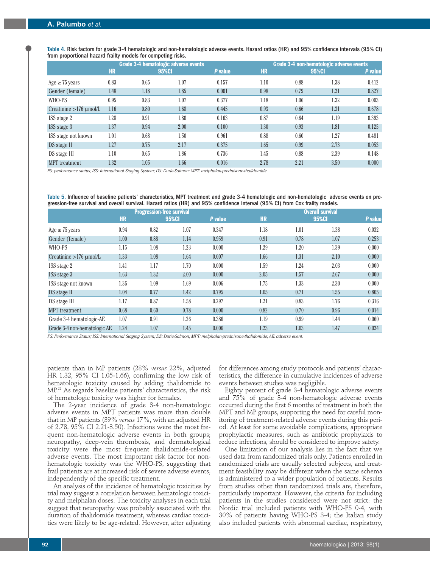Table 4. Risk factors for grade 3-4 hematologic and non-hematologic adverse events. Hazard ratios (HR) and 95% confidence intervals (95% CI) from proportional hazard frailty models for competing risks.

|                          |           | Grade 3-4 hematologic adverse events |       |         |           | Grade 3-4 non-hematologic adverse events |       |         |
|--------------------------|-----------|--------------------------------------|-------|---------|-----------|------------------------------------------|-------|---------|
|                          | <b>HR</b> |                                      | 95%CI | P value | <b>HR</b> |                                          | 95%CI | P value |
| Age $\geq$ 75 years      | 0.83      | 0.65                                 | 1.07  | 0.157   | 1.10      | 0.88                                     | 1.38  | 0.412   |
| Gender (female)          | 1.48      | 1.18                                 | 1.85  | 0.001   | 0.98      | 0.79                                     | 1.21  | 0.827   |
| WHO-PS                   | 0.95      | 0.83                                 | 1.07  | 0.377   | 1.18      | 1.06                                     | 1.32  | 0.003   |
| Creatinine $>176$ umol/L | 1.16      | 0.80                                 | 1.68  | 0.445   | 0.93      | 0.66                                     | 1.31  | 0.678   |
| ISS stage 2              | 1.28      | 0.91                                 | 1.80  | 0.163   | 0.87      | 0.64                                     | 1.19  | 0.393   |
| ISS stage 3              | 1.37      | 0.94                                 | 2.00  | 0.100   | 1.30      | 0.93                                     | 1.81  | 0.125   |
| ISS stage not known      | 1.01      | 0.68                                 | 1.50  | 0.961   | 0.88      | 0.60                                     | 1.27  | 0.481   |
| DS stage II              | 1.27      | 0.75                                 | 2.17  | 0.375   | 1.65      | 0.99                                     | 2.73  | 0.053   |
| DS stage III             | 1.10      | 0.65                                 | 1.86  | 0.736   | 1.45      | 0.88                                     | 2.39  | 0.148   |
| <b>MPT</b> treatment     | 1.32      | 1.05                                 | 1.66  | 0.016   | 2.78      | 2.21                                     | 3.50  | 0.000   |

*PS: performance status; ISS: International Staging System; DS: Durie-Salmon; MPT: melphalan-prednisone-thalidomide.*

Table 5. Influence of baseline patients' characteristics, MPT treatment and grade 3-4 hematologic and non-hematologic adverse events on progression-free survival and overall survival. Hazard ratios (HR) and 95% confidence interval (95% CI) from Cox frailty models.

|                              | <b>Progression-free survival</b> |      |       |         | <b>Overall survival</b> |      |       |         |  |  |
|------------------------------|----------------------------------|------|-------|---------|-------------------------|------|-------|---------|--|--|
|                              | <b>HR</b>                        |      | 95%CI | P value | <b>HR</b>               |      | 95%CI | P value |  |  |
| Age $\geq$ 75 years          | 0.94                             | 0.82 | 1.07  | 0.347   | 1.18                    | 1.01 | 1.38  | 0.032   |  |  |
| Gender (female)              | 1.00                             | 0.88 | 1.14  | 0.959   | 0.91                    | 0.78 | 1.07  | 0.253   |  |  |
| WHO-PS                       | 1.15                             | 1.08 | 1.23  | 0.000   | 1.29                    | 1.20 | 1.39  | 0.000   |  |  |
| Creatinine $>176$ umol/L     | 1.33                             | 1.08 | 1.64  | 0.007   | 1.66                    | 1.31 | 2.10  | 0.000   |  |  |
| ISS stage 2                  | 1.41                             | 1.17 | 1.70  | 0.000   | 1.59                    | 1.24 | 2.03  | 0.000   |  |  |
| ISS stage 3                  | 1.63                             | 1.32 | 2.00  | 0.000   | 2.05                    | 1.57 | 2.67  | 0.000   |  |  |
| ISS stage not known          | 1.36                             | 1.09 | 1.69  | 0.006   | 1.75                    | 1.33 | 2.30  | 0.000   |  |  |
| DS stage II                  | 1.04                             | 0.77 | 1.42  | 0.795   | 1.05                    | 0.71 | 1.55  | 0.805   |  |  |
| DS stage III                 | 1.17                             | 0.87 | 1.58  | 0.297   | 1.21                    | 0.83 | 1.76  | 0.316   |  |  |
| <b>MPT</b> treatment         | 0.68                             | 0.60 | 0.78  | 0.000   | 0.82                    | 0.70 | 0.96  | 0.014   |  |  |
| Grade 3-4 hematologic-AE     | 1.07                             | 0.91 | 1.26  | 0.386   | 1.19                    | 0.99 | 1.44  | 0.060   |  |  |
| Grade 3-4 non-hematologic AE | 1.24                             | 1.07 | 1.45  | 0.006   | 1.23                    | 1.03 | 1.47  | 0.024   |  |  |

*PS: Performance Status; ISS: International Staging System; DS: Durie-Salmon; MPT: melphalan-prednisone-thalidomide;AE: adverse event.*

patients than in MP patients (28% *versus* 22%, adjusted HR 1.32, 95% CI 1.05-1.66), confirming the low risk of hematologic toxicity caused by adding thalidomide to MP. <sup>22</sup> As regards baseline patients' characteristics, the risk of hematologic toxicity was higher for females.

The 2-year incidence of grade 3-4 non-hematologic adverse events in MPT patients was more than double that in MP patients (39% *versus* 17%, with an adjusted HR of 2.78, 95% CI 2.21-3.50). Infections were the most frequent non-hematologic adverse events in both groups; neuropathy, deep-vein thrombosis, and dermatological toxicity were the most frequent thalidomide-related adverse events. The most important risk factor for nonhematologic toxicity was the WHO-PS, suggesting that frail patients are at increased risk of severe adverse events, independently of the specific treatment.

An analysis of the incidence of hematologic toxicities by trial may suggest a correlation between hematologic toxicity and melphalan doses. The toxicity analyses in each trial suggest that neuropathy was probably associated with the duration of thalidomide treatment, whereas cardiac toxicities were likely to be age-related. However, after adjusting

for differences among study protocols and patients' characteristics, the difference in cumulative incidences of adverse events between studies was negligible.

Eighty percent of grade 3-4 hematologic adverse events and 75% of grade 3-4 non-hematologic adverse events occurred during the first 6 months of treatment in both the MPT and MP groups, supporting the need for careful monitoring of treatment-related adverse events during this period. At least for some avoidable complications, appropriate prophylactic measures, such as antibiotic prophylaxis to reduce infections, should be considered to improve safety.

One limitation of our analysis lies in the fact that we used data from randomized trials only. Patients enrolled in randomized trials are usually selected subjects, and treatment feasibility may be different when the same schema is administered to a wider population of patients. Results from studies other than randomized trials are, therefore, particularly important. However, the criteria for including patients in the studies considered were not strict: the Nordic trial included patients with WHO-PS 0-4, with 30% of patients having WHO-PS 3-4; the Italian study also included patients with abnormal cardiac, respiratory,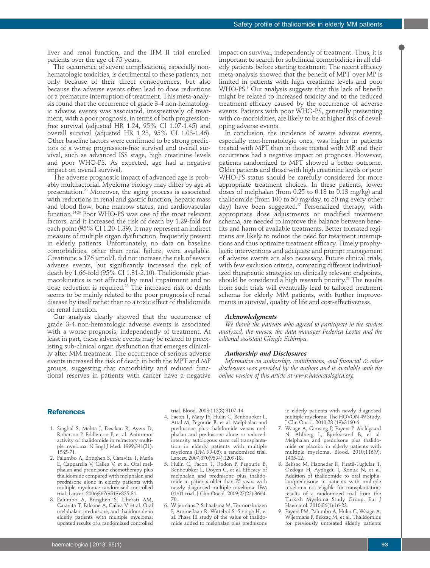liver and renal function, and the IFM II trial enrolled patients over the age of 75 years.

The occurrence of severe complications, especially nonhematologic toxicities, is detrimental to these patients, not only because of their direct consequences, but also because the adverse events often lead to dose reductions or a premature interruption of treatment. This meta-analysis found that the occurrence of grade 3-4 non-hematologic adverse events was associated, irrespectively of treatment, with a poor prognosis, in terms of both progressionfree survival (adjusted HR 1.24, 95% CI 1.07-1.45) and overall survival (adjusted HR 1.23, 95% CI 1.03-1.46). Other baseline factors were confirmed to be strong predictors of a worse progression-free survival and overall survival, such as advanced ISS stage, high creatinine levels and poor WHO-PS. As expected, age had a negative impact on overall survival.

The adverse prognostic impact of advanced age is probably multifactorial. Myeloma biology may differ by age at presentation. <sup>23</sup> Moreover, the aging process is associated with reductions in renal and gastric function, hepatic mass and blood flow, bone marrow status, and cardiovascular function. 24-26 Poor WHO-PS was one of the most relevant factors, and it increased the risk of death by 1.29-fold for each point (95% CI 1.20-1.39). It may represent an indirect measure of multiple organ dysfunction, frequently present in elderly patients. Unfortunately, no data on baseline comorbidities, other than renal failure, were available. Creatinine  $\geq 176$  µmol/L did not increase the risk of severe adverse events, but significantly increased the risk of death by 1.66-fold (95% CI 1.31-2.10). Thalidomide pharmacokinetics is not affected by renal impairment and no dose reduction is required. <sup>22</sup> The increased risk of death seems to be mainly related to the poor prognosis of renal disease by itself rather than to a toxic effect of thalidomide on renal function.

Our analysis clearly showed that the occurrence of grade 3-4 non-hematologic adverse events is associated with a worse prognosis, independently of treatment. At least in part, these adverse events may be related to preexisting sub-clinical organ dysfunction that emerges clinically after MM treatment. The occurrence of serious adverse events increased the risk of death in both the MPT and MP groups, suggesting that comorbidity and reduced functional reserves in patients with cancer have a negative

impact on survival, independently of treatment. Thus, it is important to search for subclinical comorbidities in all elderly patients before starting treatment. The recent efficacy meta-analysis showed that the benefit of MPT over MP is limited in patients with high creatinine levels and poor WHO-PS. <sup>9</sup> Our analysis suggests that this lack of benefit might be related to increased toxicity and to the reduced treatment efficacy caused by the occurrence of adverse events. Patients with poor WHO-PS, generally presenting with co-morbidities, are likely to be at higher risk of developing adverse events.

In conclusion, the incidence of severe adverse events, especially non-hematologic ones, was higher in patients treated with MPT than in those treated with MP, and their occurrence had a negative impact on prognosis. However, patients randomized to MPT showed a better outcome. Older patients and those with high creatinine levels or poor WHO-PS status should be carefully considered for more appropriate treatment choices. In these patients, lower doses of melphalan (from 0.25 to 0.18 to 0.13 mg/kg) and thalidomide (from 100 to 50 mg/day, to 50 mg every other day) have been suggested. <sup>27</sup> Personalized therapy, with appropriate dose adjustments or modified treatment schema, are needed to improve the balance between benefits and harm of available treatments. Better tolerated regimens are likely to reduce the need for treatment interruptions and thus optimize treatment efficacy. Timely prophylactic interventions and adequate and prompt management of adverse events are also necessary. Future clinical trials, with few exclusion criteria, comparing different individualized therapeutic strategies on clinically relevant endpoints, should be considered a high research priority. <sup>28</sup> The results from such trials will eventually lead to tailored treatment schema for elderly MM patients, with further improvements in survival, quality of life and cost-effectiveness.

#### *Acknowledgments*

*We thank the patients who agreed to participate in the studies analyzed, the nurses, the data manager Federica Leotta and the editorial assistant Giorgio Schirripa.*

#### *Authorship and Disclosures*

*Information on authorship, contributions, and financial & other disclosures was provided by the authors and is available with the online version of this article at www.haematologica.org.*

# **References**

- 1. Singhal S, Mehta J, Desikan R, Ayers D, Roberson P, Eddlemon P, et al. Antitumor activity of thalidomide in refractory multiple myeloma. N Engl J Med. 1999;341(21): 1565-71.
- 2. Palumbo A, Bringhen S, Caravita T, Merla E, Capparella V, Callea V, et al. Oral melphalan and prednisone chemotherapy plus thalidomide compared with melphalan and prednisone alone in elderly patients with multiple myeloma: randomised controlled trial. Lancet. 2006;367(9513):825-31.
- 3. Palumbo A, Bringhen S, Liberati AM, Caravita T, Falcone A, Callea V, et al. Oral melphalan, prednisone, and thalidomide in elderly patients with multiple myeloma: updated results of a randomized controlled

trial. Blood. 2008;112(8):3107-14.

- 4. Facon T, Mary JY, Hulin C, Benboubker L, Attal M, Pegourie B, et al. Melphalan and prednisone plus thalidomide versus melphalan and prednisone alone or reducedintensity autologous stem cell transplantation in elderly patients with multiple myeloma (IFM 99-06): a randomised trial. Lancet. 2007;370(9594):1209-18.
- 5. Hulin C, Facon T, Rodon P, Pegourie B, Benboubker L, Doyen C, et al. Efficacy of melphalan and prednisone plus thalidomide in patients older than 75 years with newly diagnosed multiple myeloma: IFM 01/01 trial. J Clin Oncol. 2009;27(22):3664- 70.
- 6. Wijermans P, Schaafsma M, Termorshuizen F, Ammerlaan R, Wittebol S, Sinnige H, et al. Phase III study of the value of thalidomide added to melphalan plus prednisone

in elderly patients with newly diagnosed multiple myeloma: The HOVON 49 Study. J Clin Oncol. 2010;28 (19):3160-6.

- 7. Waage A, Gimsing P, Fayers P, Abildgaard N, Ahlberg L, Björkstrand B, et al. Melphalan and prednisone plus thalidomide or placebo in elderly patients with multiple myeloma. Blood. 2010;116(9): 1405-12.
- 8. Beksac M, Haznedar R, Firatli-Tuglular T, Ozdogu H, Aydogdu I, Konuk N, et al. Addition of thalidomide to oral melphalan/prednisone in patients with multiple myeloma not eligible for transplantation: results of a randomized trial from the Turkish Myeloma Study Group. Eur J Haematol. 2010;86(1):16-22.
- 9. Fayers PM, Palumbo A, Hulin C, Waage A, Wijermans P, Beksaç M, et al. Thalidomide for previously untreated elderly patients